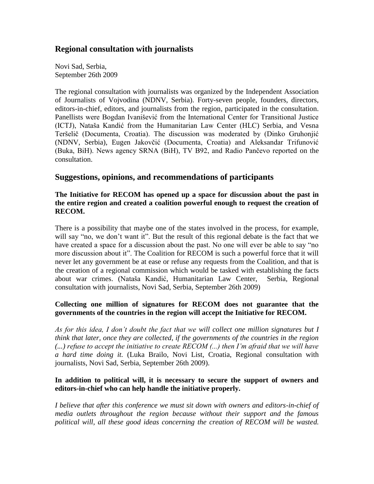# **Regional consultation with journalists**

Novi Sad, Serbia, September 26th 2009

The regional consultation with journalists was organized by the Independent Association of Journalists of Vojvodina (NDNV, Serbia). Forty-seven people, founders, directors, editors-in-chief, editors, and journalists from the region, participated in the consultation. Panellists were Bogdan Ivanišević from the International Center for Transitional Justice (ICTJ), Nataša Kandić from the Humanitarian Law Center (HLC) Serbia, and Vesna Teršelič (Documenta, Croatia). The discussion was moderated by (Dinko Gruhonjić (NDNV, Serbia), Eugen Jakovčić (Documenta, Croatia) and Aleksandar Trifunović (Buka, BiH). News agency SRNA (BiH), TV B92, and Radio Pančevo reported on the consultation.

# **Suggestions, opinions, and recommendations of participants**

**The Initiative for RECOM has opened up a space for discussion about the past in the entire region and created a coalition powerful enough to request the creation of RECOM.**

There is a possibility that maybe one of the states involved in the process, for example, will say "no, we don't want it". But the result of this regional debate is the fact that we have created a space for a discussion about the past. No one will ever be able to say "no more discussion about it". The Coalition for RECOM is such a powerful force that it will never let any government be at ease or refuse any requests from the Coalition, and that is the creation of a regional commission which would be tasked with establishing the facts about war crimes. (Nataša Kandić, Humanitarian Law Center, Serbia, Regional consultation with journalists, Novi Sad, Serbia, September 26th 2009)

### **Collecting one million of signatures for RECOM does not guarantee that the governments of the countries in the region will accept the Initiative for RECOM.**

*As for this idea, I don"t doubt the fact that we will collect one million signatures but I think that later, once they are collected, if the governments of the countries in the region (...) refuse to accept the initiative to create RECOM (...) then I"m afraid that we will have a hard time doing it.* (Luka Brailo, Novi List, Croatia, Regional consultation with journalists, Novi Sad, Serbia, September 26th 2009).

### **In addition to political will, it is necessary to secure the support of owners and editors-in-chief who can help handle the initiative properly.**

*I believe that after this conference we must sit down with owners and editors-in-chief of media outlets throughout the region because without their support and the famous political will, all these good ideas concerning the creation of RECOM will be wasted.*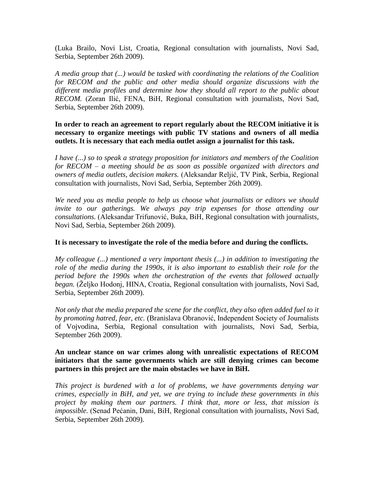(Luka Brailo, Novi List, Croatia, Regional consultation with journalists, Novi Sad, Serbia, September 26th 2009).

*A media group that (...) would be tasked with coordinating the relations of the Coalition for RECOM and the public and other media should organize discussions with the different media profiles and determine how they should all report to the public about RECOM.* (Zoran Ilić, FENA, BiH, Regional consultation with journalists, Novi Sad, Serbia, September 26th 2009).

**In order to reach an agreement to report regularly about the RECOM initiative it is necessary to organize meetings with public TV stations and owners of all media outlets. It is necessary that each media outlet assign a journalist for this task.**

*I have (...) so to speak a strategy proposition for initiators and members of the Coalition for RECOM – a meeting should be as soon as possible organized with directors and owners of media outlets, decision makers.* (Aleksandar Reljić, TV Pink, Serbia, Regional consultation with journalists, Novi Sad, Serbia, September 26th 2009).

*We need you as media people to help us choose what journalists or editors we should invite to our gatherings. We always pay trip expenses for those attending our consultations.* (Aleksandar Trifunović, Buka, BiH, Regional consultation with journalists, Novi Sad, Serbia, September 26th 2009).

#### **It is necessary to investigate the role of the media before and during the conflicts.**

*My colleague (...) mentioned a very important thesis (...) in addition to investigating the role of the media during the 1990s, it is also important to establish their role for the period before the 1990s when the orchestration of the events that followed actually began.* (Željko Hodonj, HINA, Croatia, Regional consultation with journalists, Novi Sad, Serbia, September 26th 2009).

*Not only that the media prepared the scene for the conflict, they also often added fuel to it by promoting hatred, fear, etc.* (Branislava Obranović, Independent Society of Journalists of Vojvodina, Serbia, Regional consultation with journalists, Novi Sad, Serbia, September 26th 2009).

#### **An unclear stance on war crimes along with unrealistic expectations of RECOM initiators that the same governments which are still denying crimes can become partners in this project are the main obstacles we have in BiH.**

*This project is burdened with a lot of problems, we have governments denying war crimes, especially in BiH, and yet, we are trying to include these governments in this project by making them our partners. I think that, more or less, that mission is impossible.* (Senad Pećanin, Dani, BiH, Regional consultation with journalists, Novi Sad, Serbia, September 26th 2009).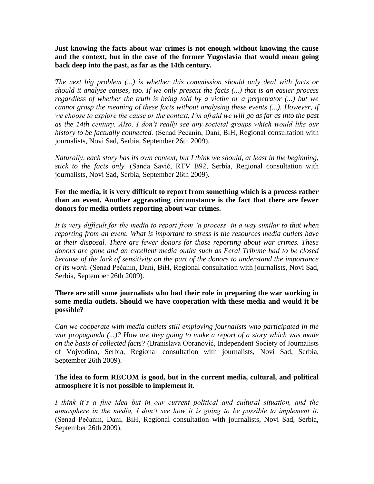**Just knowing the facts about war crimes is not enough without knowing the cause and the context, but in the case of the former Yugoslavia that would mean going back deep into the past, as far as the 14th century.** 

*The next big problem (...) is whether this commission should only deal with facts or should it analyse causes, too. If we only present the facts (...) that is an easier process regardless of whether the truth is being told by a victim or a perpetrator (...) but we cannot grasp the meaning of these facts without analysing these events (...). However, if we choose to explore the cause or the context, I"m afraid we will go as far as into the past as the 14th century. Also, I don"t really see any societal groups which would like our history to be factually connected.* (Senad Pećanin, Dani, BiH, Regional consultation with journalists, Novi Sad, Serbia, September 26th 2009).

*Naturally, each story has its own context, but I think we should, at least in the beginning, stick to the facts only.* (Sanda Savić, RTV B92, Serbia, Regional consultation with journalists, Novi Sad, Serbia, September 26th 2009).

### **For the media, it is very difficult to report from something which is a process rather than an event. Another aggravating circumstance is the fact that there are fewer donors for media outlets reporting about war crimes.**

*It is very difficult for the media to report from "a process" in a way similar to that when reporting from an event. What is important to stress is the resources media outlets have at their disposal. There are fewer donors for those reporting about war crimes. These donors are gone and an excellent media outlet such as Feral Tribune had to be closed because of the lack of sensitivity on the part of the donors to understand the importance of its work.* (Senad Pećanin, Dani, BiH, Regional consultation with journalists, Novi Sad, Serbia, September 26th 2009).

### **There are still some journalists who had their role in preparing the war working in some media outlets. Should we have cooperation with these media and would it be possible?**

*Can we cooperate with media outlets still employing journalists who participated in the war propaganda (...)? How are they going to make a report of a story which was made on the basis of collected facts?* (Branislava Obranović, Independent Society of Journalists of Vojvodina, Serbia, Regional consultation with journalists, Novi Sad, Serbia, September 26th 2009).

### **The idea to form RECOM is good, but in the current media, cultural, and political atmosphere it is not possible to implement it.**

*I think it"s a fine idea but in our current political and cultural situation, and the atmosphere in the media, I don"t see how it is going to be possible to implement it.* (Senad Pećanin, Dani, BiH, Regional consultation with journalists, Novi Sad, Serbia, September 26th 2009).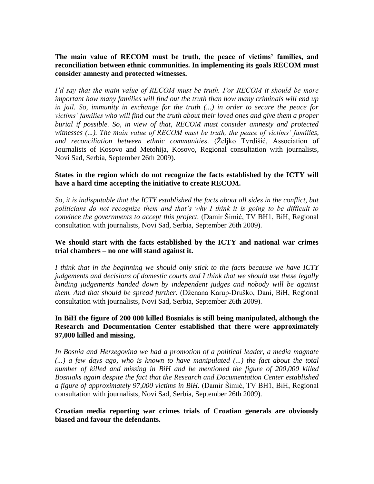**The main value of RECOM must be truth, the peace of victims" families, and reconciliation between ethnic communities. In implementing its goals RECOM must consider amnesty and protected witnesses.**

*I"d say that the main value of RECOM must be truth. For RECOM it should be more important how many families will find out the truth than how many criminals will end up in jail. So, immunity in exchange for the truth (...) in order to secure the peace for victims" families who will find out the truth about their loved ones and give them a proper burial if possible. So, in view of that, RECOM must consider amnesty and protected witnesses (...). The main value of RECOM must be truth, the peace of victims" families,*  and reconciliation between ethnic communities. (Željko Tvrdišić, Association of Journalists of Kosovo and Metohija, Kosovo, Regional consultation with journalists, Novi Sad, Serbia, September 26th 2009).

#### **States in the region which do not recognize the facts established by the ICTY will have a hard time accepting the initiative to create RECOM.**

*So, it is indisputable that the ICTY established the facts about all sides in the conflict, but politicians do not recognize them and that"s why I think it is going to be difficult to convince the governments to accept this project.* (Damir Šimić, TV BH1, BiH, Regional consultation with journalists, Novi Sad, Serbia, September 26th 2009).

### **We should start with the facts established by the ICTY and national war crimes trial chambers – no one will stand against it.**

*I think that in the beginning we should only stick to the facts because we have ICTY judgements and decisions of domestic courts and I think that we should use these legally binding judgements handed down by independent judges and nobody will be against them. And that should be spread further.* (Dţenana Karup-Druško, Dani, BiH, Regional consultation with journalists, Novi Sad, Serbia, September 26th 2009).

### **In BiH the figure of 200 000 killed Bosniaks is still being manipulated, although the Research and Documentation Center established that there were approximately 97,000 killed and missing.**

*In Bosnia and Herzegovina we had a promotion of a political leader, a media magnate (...) a few days ago, who is known to have manipulated (...) the fact about the total number of killed and missing in BiH and he mentioned the figure of 200,000 killed Bosniaks again despite the fact that the Research and Documentation Center established a figure of approximately 97,000 victims in BiH.* (Damir Šimić, TV BH1, BiH, Regional consultation with journalists, Novi Sad, Serbia, September 26th 2009).

#### **Croatian media reporting war crimes trials of Croatian generals are obviously biased and favour the defendants.**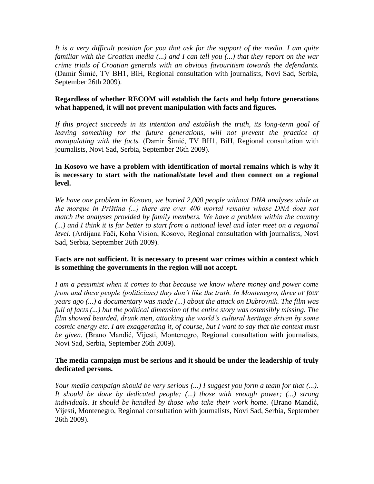*It is a very difficult position for you that ask for the support of the media. I am quite familiar with the Croatian media (...) and I can tell you (...) that they report on the war crime trials of Croatian generals with an obvious favouritism towards the defendants.* (Damir Šimić, TV BH1, BiH, Regional consultation with journalists, Novi Sad, Serbia, September 26th 2009).

### **Regardless of whether RECOM will establish the facts and help future generations what happened, it will not prevent manipulation with facts and figures.**

*If this project succeeds in its intention and establish the truth, its long-term goal of leaving something for the future generations, will not prevent the practice of manipulating with the facts.* (Damir Šimić, TV BH1, BiH, Regional consultation with journalists, Novi Sad, Serbia, September 26th 2009).

### **In Kosovo we have a problem with identification of mortal remains which is why it is necessary to start with the national/state level and then connect on a regional level.**

*We have one problem in Kosovo, we buried 2,000 people without DNA analyses while at the morgue in Priština (...) there are over 400 mortal remains whose DNA does not match the analyses provided by family members. We have a problem within the country (...) and I think it is far better to start from a national level and later meet on a regional level.* (Ardijana Fači, Koha Vision, Kosovo, Regional consultation with journalists, Novi Sad, Serbia, September 26th 2009).

### **Facts are not sufficient. It is necessary to present war crimes within a context which is something the governments in the region will not accept.**

*I am a pessimist when it comes to that because we know where money and power come from and these people (politicians) they don"t like the truth. In Montenegro, three or four years ago (...) a documentary was made (...) about the attack on Dubrovnik. The film was full of facts (...) but the political dimension of the entire story was ostensibly missing. The film showed bearded, drunk men, attacking the world"s cultural heritage driven by some cosmic energy etc. I am exaggerating it, of course, but I want to say that the context must be given.* (Brano Mandić, Vijesti, Montenegro, Regional consultation with journalists, Novi Sad, Serbia, September 26th 2009).

### **The media campaign must be serious and it should be under the leadership of truly dedicated persons.**

*Your media campaign should be very serious (...) I suggest you form a team for that (...). It should be done by dedicated people; (...) those with enough power; (...) strong individuals. It should be handled by those who take their work home.* (Brano Mandić, Vijesti, Montenegro, Regional consultation with journalists, Novi Sad, Serbia, September 26th 2009).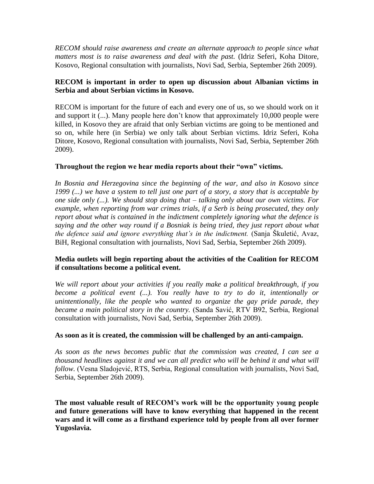*RECOM should raise awareness and create an alternate approach to people since what matters most is to raise awareness and deal with the past.* (Idriz Seferi, Koha Ditore, Kosovo, Regional consultation with journalists, Novi Sad, Serbia, September 26th 2009).

### **RECOM is important in order to open up discussion about Albanian victims in Serbia and about Serbian victims in Kosovo.**

RECOM is important for the future of each and every one of us, so we should work on it and support it (...). Many people here don't know that approximately 10,000 people were killed, in Kosovo they are afraid that only Serbian victims are going to be mentioned and so on, while here (in Serbia) we only talk about Serbian victims. Idriz Seferi, Koha Ditore, Kosovo, Regional consultation with journalists, Novi Sad, Serbia, September 26th 2009).

### **Throughout the region we hear media reports about their "own" victims.**

*In Bosnia and Herzegovina since the beginning of the war, and also in Kosovo since 1999 (...) we have a system to tell just one part of a story, a story that is acceptable by one side only (...). We should stop doing that – talking only about our own victims. For example, when reporting from war crimes trials, if a Serb is being prosecuted, they only report about what is contained in the indictment completely ignoring what the defence is saying and the other way round if a Bosniak is being tried, they just report about what the defence said and ignore everything that"s in the indictment.* (Sanja Škuletić, Avaz, BiH, Regional consultation with journalists, Novi Sad, Serbia, September 26th 2009).

### **Media outlets will begin reporting about the activities of the Coalition for RECOM if consultations become a political event.**

*We will report about your activities if you really make a political breakthrough, if you become a political event (...). You really have to try to do it, intentionally or unintentionally, like the people who wanted to organize the gay pride parade, they became a main political story in the country.* (Sanda Savić, RTV B92, Serbia, Regional consultation with journalists, Novi Sad, Serbia, September 26th 2009).

#### **As soon as it is created, the commission will be challenged by an anti-campaign.**

*As soon as the news becomes public that the commission was created, I can see a thousand headlines against it and we can all predict who will be behind it and what will follow.* (Vesna Sladojević, RTS, Serbia, Regional consultation with journalists, Novi Sad, Serbia, September 26th 2009).

**The most valuable result of RECOM"s work will be the opportunity young people and future generations will have to know everything that happened in the recent wars and it will come as a firsthand experience told by people from all over former Yugoslavia.**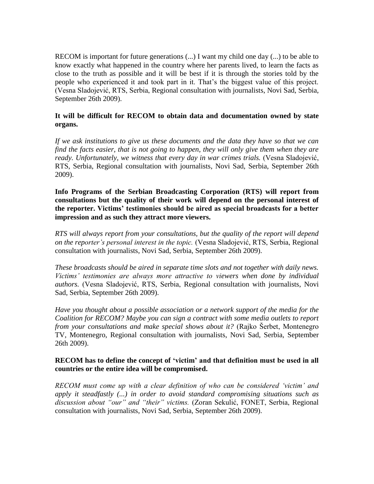RECOM is important for future generations (...) I want my child one day (...) to be able to know exactly what happened in the country where her parents lived, to learn the facts as close to the truth as possible and it will be best if it is through the stories told by the people who experienced it and took part in it. That's the biggest value of this project. (Vesna Sladojević, RTS, Serbia, Regional consultation with journalists, Novi Sad, Serbia, September 26th 2009).

### **It will be difficult for RECOM to obtain data and documentation owned by state organs.**

*If we ask institutions to give us these documents and the data they have so that we can find the facts easier, that is not going to happen, they will only give them when they are ready. Unfortunately, we witness that every day in war crimes trials.* (Vesna Sladojević, RTS, Serbia, Regional consultation with journalists, Novi Sad, Serbia, September 26th 2009).

**Info Programs of the Serbian Broadcasting Corporation (RTS) will report from consultations but the quality of their work will depend on the personal interest of the reporter. Victims" testimonies should be aired as special broadcasts for a better impression and as such they attract more viewers.** 

*RTS will always report from your consultations, but the quality of the report will depend on the reporter"s personal interest in the topic.* (Vesna Sladojević, RTS, Serbia, Regional consultation with journalists, Novi Sad, Serbia, September 26th 2009).

*These broadcasts should be aired in separate time slots and not together with daily news. Victims" testimonies are always more attractive to viewers when done by individual authors.* (Vesna Sladojević, RTS, Serbia, Regional consultation with journalists, Novi Sad, Serbia, September 26th 2009).

*Have you thought about a possible association or a network support of the media for the Coalition for RECOM? Maybe you can sign a contract with some media outlets to report from your consultations and make special shows about it?* (Rajko Šerbet, Montenegro TV, Montenegro, Regional consultation with journalists, Novi Sad, Serbia, September 26th 2009).

#### **RECOM has to define the concept of "victim" and that definition must be used in all countries or the entire idea will be compromised.**

*RECOM must come up with a clear definition of who can be considered "victim" and apply it steadfastly (...) in order to avoid standard compromising situations such as discussion about "our" and "their" victims.* (Zoran Sekulić, FONET, Serbia, Regional consultation with journalists, Novi Sad, Serbia, September 26th 2009).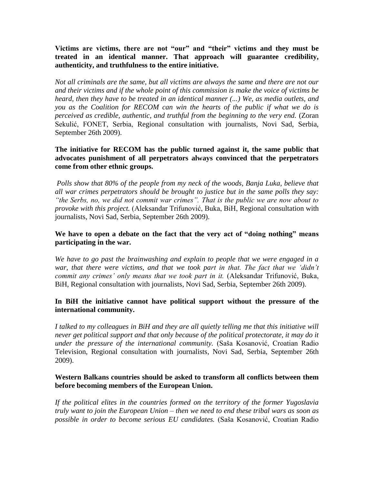**Victims are victims, there are not "our" and "their" victims and they must be treated in an identical manner. That approach will guarantee credibility, authenticity, and truthfulness to the entire initiative.** 

*Not all criminals are the same, but all victims are always the same and there are not our and their victims and if the whole point of this commission is make the voice of victims be heard, then they have to be treated in an identical manner (...) We, as media outlets, and you as the Coalition for RECOM can win the hearts of the public if what we do is perceived as credible, authentic, and truthful from the beginning to the very end.* (Zoran Sekulić, FONET, Serbia, Regional consultation with journalists, Novi Sad, Serbia, September 26th 2009).

### **The initiative for RECOM has the public turned against it, the same public that advocates punishment of all perpetrators always convinced that the perpetrators come from other ethnic groups.**

*Polls show that 80% of the people from my neck of the woods, Banja Luka, believe that all war crimes perpetrators should be brought to justice but in the same polls they say: "the Serbs, no, we did not commit war crimes". That is the public we are now about to provoke with this project.* (Aleksandar Trifunović, Buka, BiH, Regional consultation with journalists, Novi Sad, Serbia, September 26th 2009).

### **We have to open a debate on the fact that the very act of "doing nothing" means participating in the war.**

*We have to go past the brainwashing and explain to people that we were engaged in a*  war, that there were victims, and that we took part in that. The fact that we 'didn't *commit any crimes" only means that we took part in it.* (Aleksandar Trifunović, Buka, BiH, Regional consultation with journalists, Novi Sad, Serbia, September 26th 2009).

### **In BiH the initiative cannot have political support without the pressure of the international community.**

*I talked to my colleagues in BiH and they are all quietly telling me that this initiative will never get political support and that only because of the political protectorate, it may do it under the pressure of the international community.* (Saša Kosanović, Croatian Radio Television, Regional consultation with journalists, Novi Sad, Serbia, September 26th 2009).

### **Western Balkans countries should be asked to transform all conflicts between them before becoming members of the European Union.**

*If the political elites in the countries formed on the territory of the former Yugoslavia truly want to join the European Union – then we need to end these tribal wars as soon as possible in order to become serious EU candidates.* (Saša Kosanović, Croatian Radio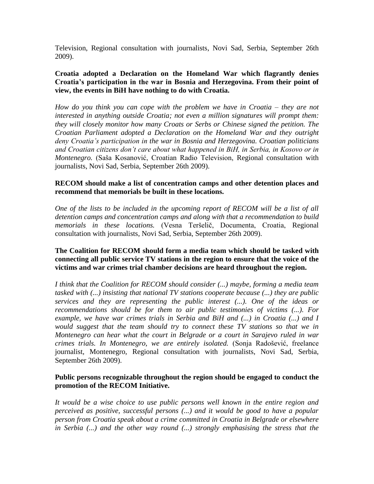Television, Regional consultation with journalists, Novi Sad, Serbia, September 26th 2009).

### **Croatia adopted a Declaration on the Homeland War which flagrantly denies Croatia"s participation in the war in Bosnia and Herzegovina. From their point of view, the events in BiH have nothing to do with Croatia.**

*How do you think you can cope with the problem we have in Croatia – they are not interested in anything outside Croatia; not even a million signatures will prompt them: they will closely monitor how many Croats or Serbs or Chinese signed the petition. The Croatian Parliament adopted a Declaration on the Homeland War and they outright deny Croatia"s participation in the war in Bosnia and Herzegovina. Croatian politicians and Croatian citizens don"t care about what happened in BiH, in Serbia, in Kosovo or in Montenegro.* (Saša Kosanović, Croatian Radio Television, Regional consultation with journalists, Novi Sad, Serbia, September 26th 2009).

### **RECOM should make a list of concentration camps and other detention places and recommend that memorials be built in these locations.**

*One of the lists to be included in the upcoming report of RECOM will be a list of all detention camps and concentration camps and along with that a recommendation to build memorials in these locations.* (Vesna Teršelič, Documenta, Croatia, Regional consultation with journalists, Novi Sad, Serbia, September 26th 2009).

### **The Coalition for RECOM should form a media team which should be tasked with connecting all public service TV stations in the region to ensure that the voice of the victims and war crimes trial chamber decisions are heard throughout the region.**

*I think that the Coalition for RECOM should consider (...) maybe, forming a media team tasked with (...) insisting that national TV stations cooperate because (...) they are public services and they are representing the public interest (...). One of the ideas or recommendations should be for them to air public testimonies of victims (...). For example, we have war crimes trials in Serbia and BiH and (...) in Croatia (...) and I would suggest that the team should try to connect these TV stations so that we in Montenegro can hear what the court in Belgrade or a court in Sarajevo ruled in war crimes trials. In Montenegro, we are entirely isolated.* (Sonja Radošević, freelance journalist, Montenegro, Regional consultation with journalists, Novi Sad, Serbia, September 26th 2009).

### **Public persons recognizable throughout the region should be engaged to conduct the promotion of the RECOM Initiative.**

*It would be a wise choice to use public persons well known in the entire region and perceived as positive, successful persons (...) and it would be good to have a popular person from Croatia speak about a crime committed in Croatia in Belgrade or elsewhere in Serbia (...) and the other way round (...) strongly emphasising the stress that the*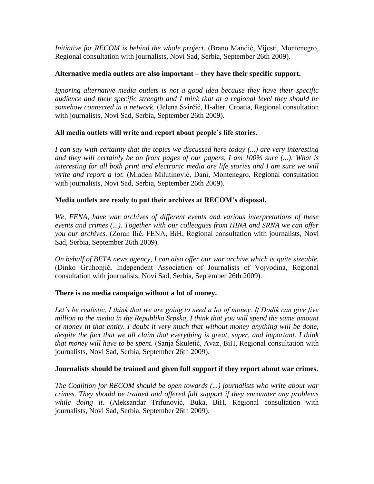*Initiative for RECOM is behind the whole project.* (Brano Mandić, Vijesti, Montenegro, Regional consultation with journalists, Novi Sad, Serbia, September 26th 2009).

## **Alternative media outlets are also important – they have their specific support.**

*Ignoring alternative media outlets is not a good idea because they have their specific audience and their specific strength and I think that at a regional level they should be somehow connected in a network.* (Jelena Svirčić, H-alter, Croatia, Regional consultation with journalists, Novi Sad, Serbia, September 26th 2009).

# **All media outlets will write and report about people"s life stories.**

*I can say with certainty that the topics we discussed here today (...) are very interesting and they will certainly be on front pages of our papers, I am 100% sure (...). What is interesting for all both print and electronic media are life stories and I am sure we will write and report a lot.* (Mladen Milutinović, Dani, Montenegro, Regional consultation with journalists, Novi Sad, Serbia, September 26th 2009).

# **Media outlets are ready to put their archives at RECOM"s disposal.**

*We, FENA, have war archives of different events and various interpretations of these events and crimes (...). Together with our colleagues from HINA and SRNA we can offer you our archives.* (Zoran Ilić, FENA, BiH, Regional consultation with journalists, Novi Sad, Serbia, September 26th 2009).

*On behalf of BETA news agency, I can also offer our war archive which is quite sizeable.* (Dinko Gruhonjić, Independent Association of Journalists of Vojvodina, Regional consultation with journalists, Novi Sad, Serbia, September 26th 2009).

# **There is no media campaign without a lot of money.**

Let's be realistic, I think that we are going to need a lot of money. If Dodik can give five *million to the media in the Republika Srpska, I think that you will spend the same amount of money in that entity. I doubt it very much that without money anything will be done, despite the fact that we all claim that everything is great, super, and important. I think that money will have to be spent.* (Sanja Škuletić, Avaz, BiH, Regional consultation with journalists, Novi Sad, Serbia, September 26th 2009).

### **Journalists should be trained and given full support if they report about war crimes.**

*The Coalition for RECOM should be open towards (...) journalists who write about war crimes. They should be trained and offered full support if they encounter any problems while doing it.* (Aleksandar Trifunović, Buka, BiH, Regional consultation with journalists, Novi Sad, Serbia, September 26th 2009).